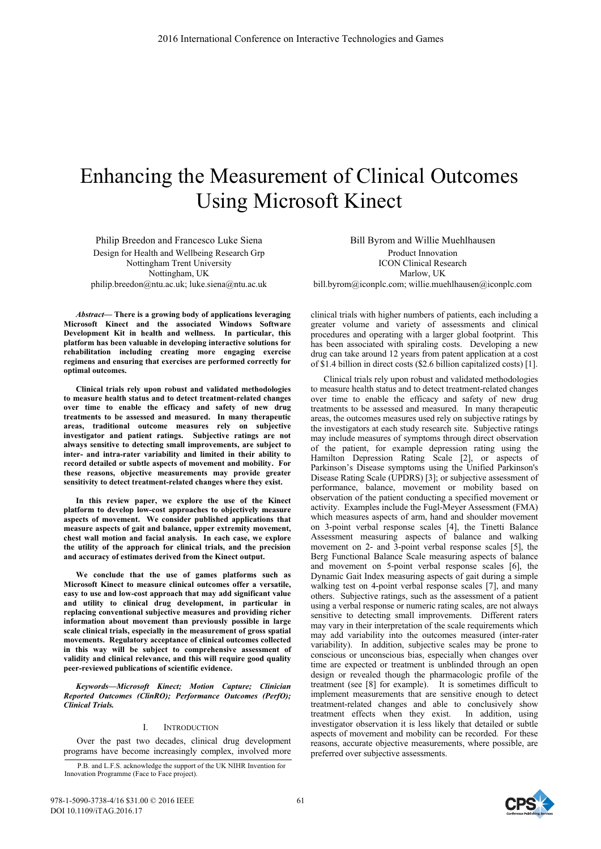# Enhancing the Measurement of Clinical Outcomes Using Microsoft Kinect

Philip Breedon and Francesco Luke Siena Design for Health and Wellbeing Research Grp Nottingham Trent University Nottingham, UK philip.breedon@ntu.ac.uk; luke.siena@ntu.ac.uk

*Abstract***— There is a growing body of applications leveraging Microsoft Kinect and the associated Windows Software Development Kit in health and wellness. In particular, this platform has been valuable in developing interactive solutions for rehabilitation including creating more engaging exercise regimens and ensuring that exercises are performed correctly for optimal outcomes.** 

**Clinical trials rely upon robust and validated methodologies to measure health status and to detect treatment-related changes over time to enable the efficacy and safety of new drug treatments to be assessed and measured. In many therapeutic areas, traditional outcome measures rely on subjective investigator and patient ratings. Subjective ratings are not always sensitive to detecting small improvements, are subject to inter- and intra-rater variability and limited in their ability to record detailed or subtle aspects of movement and mobility. For these reasons, objective measurements may provide greater sensitivity to detect treatment-related changes where they exist.** 

**In this review paper, we explore the use of the Kinect platform to develop low-cost approaches to objectively measure aspects of movement. We consider published applications that measure aspects of gait and balance, upper extremity movement, chest wall motion and facial analysis. In each case, we explore the utility of the approach for clinical trials, and the precision and accuracy of estimates derived from the Kinect output.** 

**We conclude that the use of games platforms such as Microsoft Kinect to measure clinical outcomes offer a versatile, easy to use and low-cost approach that may add significant value and utility to clinical drug development, in particular in replacing conventional subjective measures and providing richer information about movement than previously possible in large scale clinical trials, especially in the measurement of gross spatial movements. Regulatory acceptance of clinical outcomes collected in this way will be subject to comprehensive assessment of validity and clinical relevance, and this will require good quality peer-reviewed publications of scientific evidence.** 

*Keywords—Microsoft Kinect; Motion Capture; Clinician Reported Outcomes (ClinRO); Performance Outcomes (PerfO); Clinical Trials.* 

## I. INTRODUCTION

Over the past two decades, clinical drug development programs have become increasingly complex, involved more

P.B. and L.F.S. acknowledge the support of the UK NIHR Invention for Innovation Programme (Face to Face project).

Bill Byrom and Willie Muehlhausen Product Innovation ICON Clinical Research Marlow, UK bill.byrom@iconplc.com; willie.muehlhausen@iconplc.com

clinical trials with higher numbers of patients, each including a greater volume and variety of assessments and clinical procedures and operating with a larger global footprint. This has been associated with spiraling costs. Developing a new drug can take around 12 years from patent application at a cost of \$1.4 billion in direct costs (\$2.6 billion capitalized costs) [1].

Clinical trials rely upon robust and validated methodologies to measure health status and to detect treatment-related changes over time to enable the efficacy and safety of new drug treatments to be assessed and measured. In many therapeutic areas, the outcomes measures used rely on subjective ratings by the investigators at each study research site. Subjective ratings may include measures of symptoms through direct observation of the patient, for example depression rating using the Hamilton Depression Rating Scale [2], or aspects of Parkinson's Disease symptoms using the Unified Parkinson's Disease Rating Scale (UPDRS) [3]; or subjective assessment of performance, balance, movement or mobility based on observation of the patient conducting a specified movement or activity. Examples include the Fugl-Meyer Assessment (FMA) which measures aspects of arm, hand and shoulder movement on 3-point verbal response scales [4], the Tinetti Balance Assessment measuring aspects of balance and walking movement on 2- and 3-point verbal response scales [5], the Berg Functional Balance Scale measuring aspects of balance and movement on 5-point verbal response scales [6], the Dynamic Gait Index measuring aspects of gait during a simple walking test on 4-point verbal response scales [7], and many others. Subjective ratings, such as the assessment of a patient using a verbal response or numeric rating scales, are not always sensitive to detecting small improvements. Different raters may vary in their interpretation of the scale requirements which may add variability into the outcomes measured (inter-rater variability). In addition, subjective scales may be prone to conscious or unconscious bias, especially when changes over time are expected or treatment is unblinded through an open design or revealed though the pharmacologic profile of the treatment (see [8] for example). It is sometimes difficult to implement measurements that are sensitive enough to detect treatment-related changes and able to conclusively show treatment effects when they exist. In addition, using investigator observation it is less likely that detailed or subtle aspects of movement and mobility can be recorded. For these reasons, accurate objective measurements, where possible, are preferred over subjective assessments.

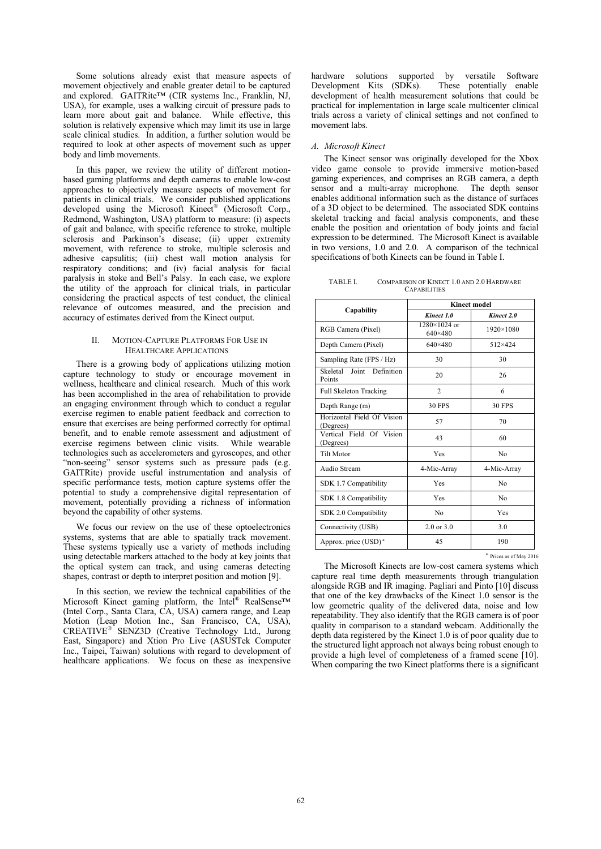Some solutions already exist that measure aspects of movement objectively and enable greater detail to be captured and explored. GAITRite™ (CIR systems Inc., Franklin, NJ, USA), for example, uses a walking circuit of pressure pads to learn more about gait and balance. While effective, this solution is relatively expensive which may limit its use in large scale clinical studies. In addition, a further solution would be required to look at other aspects of movement such as upper body and limb movements.

In this paper, we review the utility of different motionbased gaming platforms and depth cameras to enable low-cost approaches to objectively measure aspects of movement for patients in clinical trials. We consider published applications developed using the Microsoft Kinect*®* (Microsoft Corp., Redmond, Washington, USA) platform to measure: (i) aspects of gait and balance, with specific reference to stroke, multiple sclerosis and Parkinson's disease; (ii) upper extremity movement, with reference to stroke, multiple sclerosis and adhesive capsulitis; (iii) chest wall motion analysis for respiratory conditions; and (iv) facial analysis for facial paralysis in stoke and Bell's Palsy. In each case, we explore the utility of the approach for clinical trials, in particular considering the practical aspects of test conduct, the clinical relevance of outcomes measured, and the precision and accuracy of estimates derived from the Kinect output.

# II. MOTION-CAPTURE PLATFORMS FOR USE IN HEALTHCARE APPLICATIONS

There is a growing body of applications utilizing motion capture technology to study or encourage movement in wellness, healthcare and clinical research. Much of this work has been accomplished in the area of rehabilitation to provide an engaging environment through which to conduct a regular exercise regimen to enable patient feedback and correction to ensure that exercises are being performed correctly for optimal benefit, and to enable remote assessment and adjustment of exercise regimens between clinic visits. While wearable technologies such as accelerometers and gyroscopes, and other "non-seeing" sensor systems such as pressure pads (e.g. GAITRite) provide useful instrumentation and analysis of specific performance tests, motion capture systems offer the potential to study a comprehensive digital representation of movement, potentially providing a richness of information beyond the capability of other systems.

We focus our review on the use of these optoelectronics systems, systems that are able to spatially track movement. These systems typically use a variety of methods including using detectable markers attached to the body at key joints that the optical system can track, and using cameras detecting shapes, contrast or depth to interpret position and motion [9].

In this section, we review the technical capabilities of the Microsoft Kinect gaming platform, the Intel® RealSense™ (Intel Corp., Santa Clara, CA, USA) camera range, and Leap Motion (Leap Motion Inc., San Francisco, CA, USA), CREATIVE*®* SENZ3D (Creative Technology Ltd., Jurong East, Singapore) and Xtion Pro Live (ASUSTek Computer Inc., Taipei, Taiwan) solutions with regard to development of healthcare applications. We focus on these as inexpensive hardware solutions supported by versatile Software<br>Development Kits (SDKs). These potentially enable These potentially enable development of health measurement solutions that could be practical for implementation in large scale multicenter clinical trials across a variety of clinical settings and not confined to movement labs.

# *A. Microsoft Kinect*

The Kinect sensor was originally developed for the Xbox video game console to provide immersive motion-based gaming experiences, and comprises an RGB camera, a depth sensor and a multi-array microphone. The depth sensor enables additional information such as the distance of surfaces of a 3D object to be determined. The associated SDK contains skeletal tracking and facial analysis components, and these enable the position and orientation of body joints and facial expression to be determined. The Microsoft Kinect is available in two versions, 1.0 and 2.0. A comparison of the technical specifications of both Kinects can be found in Table I.

TABLE I. COMPARISON OF KINECT 1.0 AND 2.0 HARDWARE **CAPABILITIES** 

|                                         |                                | <b>Kinect model</b> |
|-----------------------------------------|--------------------------------|---------------------|
| Capability                              | Kinect 1.0                     | Kinect 2.0          |
| RGB Camera (Pixel)                      | $1280\times1024$ or<br>640×480 | 1920×1080           |
| Depth Camera (Pixel)                    | 640×480                        | 512×424             |
| Sampling Rate (FPS / Hz)                | 30                             | 30                  |
| Skeletal<br>Joint Definition<br>Points  | 20                             | 26                  |
| <b>Full Skeleton Tracking</b>           | $\mathcal{D}$                  | 6                   |
| Depth Range (m)                         | <b>30 FPS</b>                  | <b>30 FPS</b>       |
| Horizontal Field Of Vision<br>(Degrees) | 57                             | 70                  |
| Vertical Field Of Vision<br>(Degrees)   | 43                             | 60                  |
| <b>Tilt Motor</b>                       | Yes                            | N <sub>0</sub>      |
| Audio Stream                            | 4-Mic-Array                    | 4-Mic-Array         |
| SDK 1.7 Compatibility                   | Yes                            | No                  |
| SDK 1.8 Compatibility                   | Yes                            | No                  |
| SDK 2.0 Compatibility                   | N <sub>0</sub>                 | Yes                 |
| Connectivity (USB)                      | $2.0$ or $3.0$                 | 3.0                 |
| Approx. price (USD) <sup>a</sup>        | 45                             | 190                 |

a. Prices as of May 2016

The Microsoft Kinects are low-cost camera systems which capture real time depth measurements through triangulation alongside RGB and IR imaging. Pagliari and Pinto [10] discuss that one of the key drawbacks of the Kinect 1.0 sensor is the low geometric quality of the delivered data, noise and low repeatability. They also identify that the RGB camera is of poor quality in comparison to a standard webcam. Additionally the depth data registered by the Kinect 1.0 is of poor quality due to the structured light approach not always being robust enough to provide a high level of completeness of a framed scene [10]. When comparing the two Kinect platforms there is a significant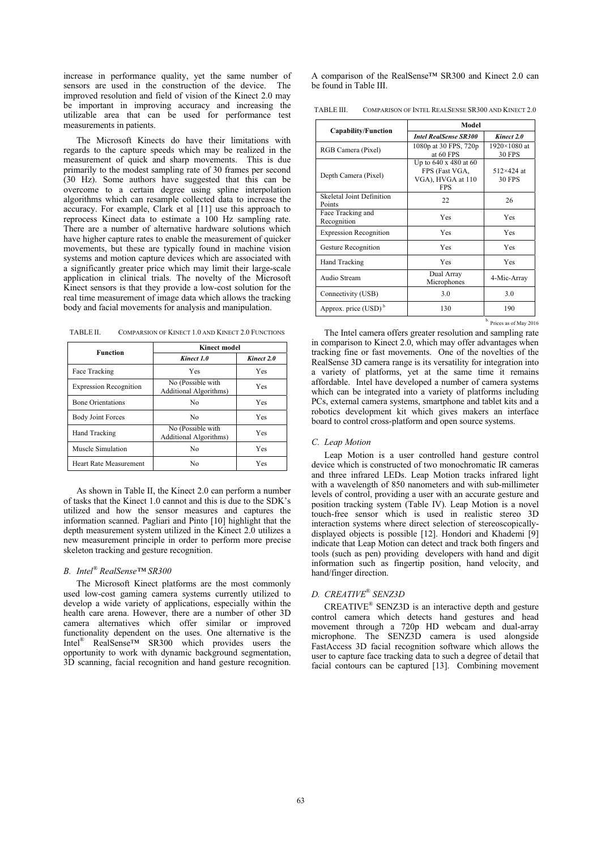increase in performance quality, yet the same number of sensors are used in the construction of the device. The improved resolution and field of vision of the Kinect 2.0 may be important in improving accuracy and increasing the utilizable area that can be used for performance test measurements in patients.

The Microsoft Kinects do have their limitations with regards to the capture speeds which may be realized in the measurement of quick and sharp movements. This is due primarily to the modest sampling rate of 30 frames per second (30 Hz). Some authors have suggested that this can be overcome to a certain degree using spline interpolation algorithms which can resample collected data to increase the accuracy. For example, Clark et al [11] use this approach to reprocess Kinect data to estimate a 100 Hz sampling rate. There are a number of alternative hardware solutions which have higher capture rates to enable the measurement of quicker movements, but these are typically found in machine vision systems and motion capture devices which are associated with a significantly greater price which may limit their large-scale application in clinical trials. The novelty of the Microsoft Kinect sensors is that they provide a low-cost solution for the real time measurement of image data which allows the tracking body and facial movements for analysis and manipulation.

| TABLE II.<br>COMPARSION OF KINECT 1.0 AND KINECT 2.0 FUNCTIONS |
|----------------------------------------------------------------|
|----------------------------------------------------------------|

| Function                      | <b>Kinect model</b>                                 |            |
|-------------------------------|-----------------------------------------------------|------------|
|                               | Kinect 1.0                                          | Kinect 2.0 |
| Face Tracking                 | Yes                                                 | Yes        |
| <b>Expression Recognition</b> | No (Possible with<br>Additional Algorithms)         | Yes        |
| <b>Bone Orientations</b>      | No                                                  | Yes        |
| <b>Body Joint Forces</b>      | No                                                  | Yes        |
| Hand Tracking                 | No (Possible with<br><b>Additional Algorithms</b> ) | Yes        |
| Muscle Simulation             | No                                                  | Yes        |
| <b>Heart Rate Measurement</b> | No                                                  | Yes        |

As shown in Table II, the Kinect 2.0 can perform a number of tasks that the Kinect 1.0 cannot and this is due to the SDK's utilized and how the sensor measures and captures the information scanned. Pagliari and Pinto [10] highlight that the depth measurement system utilized in the Kinect 2.0 utilizes a new measurement principle in order to perform more precise skeleton tracking and gesture recognition.

#### *B. Intel® RealSense™ SR300*

The Microsoft Kinect platforms are the most commonly used low-cost gaming camera systems currently utilized to develop a wide variety of applications, especially within the health care arena. However, there are a number of other 3D camera alternatives which offer similar or improved functionality dependent on the uses. One alternative is the Intel® RealSense™ SR300 which provides users the opportunity to work with dynamic background segmentation, 3D scanning, facial recognition and hand gesture recognition.

A comparison of the RealSense™ SR300 and Kinect 2.0 can be found in Table III.

TABLE III. COMPARISON OF INTEL REALSENSE SR300 AND KINECT 2.0

|                                     | Model                                                                      |                                    |
|-------------------------------------|----------------------------------------------------------------------------|------------------------------------|
| Capability/Function                 | <b>Intel RealSense SR300</b>                                               | Kinect 2.0                         |
| RGB Camera (Pixel)                  | 1080p at 30 FPS, 720p<br>at 60 FPS                                         | 1920×1080 at<br><b>30 FPS</b>      |
| Depth Camera (Pixel)                | Up to 640 x 480 at 60<br>FPS (Fast VGA,<br>VGA), HVGA at 110<br><b>FPS</b> | $512\times424$ at<br><b>30 FPS</b> |
| Skeletal Joint Definition<br>Points | 22                                                                         | 26                                 |
| Face Tracking and<br>Recognition    | Yes                                                                        | Yes                                |
| <b>Expression Recognition</b>       | Yes                                                                        | Yes                                |
| Gesture Recognition                 | Yes                                                                        | Yes                                |
| <b>Hand Tracking</b>                | Yes                                                                        | Yes                                |
| Audio Stream                        | Dual Array<br>Microphones                                                  | 4-Mic-Array                        |
| Connectivity (USB)                  | 3.0                                                                        | 3.0                                |
| Approx. price (USD) <sup>b</sup>    | 130                                                                        | 190                                |

b. Prices as of May 2016

The Intel camera offers greater resolution and sampling rate in comparison to Kinect 2.0, which may offer advantages when tracking fine or fast movements. One of the novelties of the RealSense 3D camera range is its versatility for integration into a variety of platforms, yet at the same time it remains affordable. Intel have developed a number of camera systems which can be integrated into a variety of platforms including PCs, external camera systems, smartphone and tablet kits and a robotics development kit which gives makers an interface board to control cross-platform and open source systems.

#### *C. Leap Motion*

Leap Motion is a user controlled hand gesture control device which is constructed of two monochromatic IR cameras and three infrared LEDs. Leap Motion tracks infrared light with a wavelength of 850 nanometers and with sub-millimeter levels of control, providing a user with an accurate gesture and position tracking system (Table IV). Leap Motion is a novel touch-free sensor which is used in realistic stereo 3D interaction systems where direct selection of stereoscopicallydisplayed objects is possible [12]. Hondori and Khademi [9] indicate that Leap Motion can detect and track both fingers and tools (such as pen) providing developers with hand and digit information such as fingertip position, hand velocity, and hand/finger direction.

# *D. CREATIVE*® *SENZ3D*

CREATIVE® SENZ3D is an interactive depth and gesture control camera which detects hand gestures and head movement through a 720p HD webcam and dual-array microphone. The SENZ3D camera is used alongside FastAccess 3D facial recognition software which allows the user to capture face tracking data to such a degree of detail that facial contours can be captured [13]. Combining movement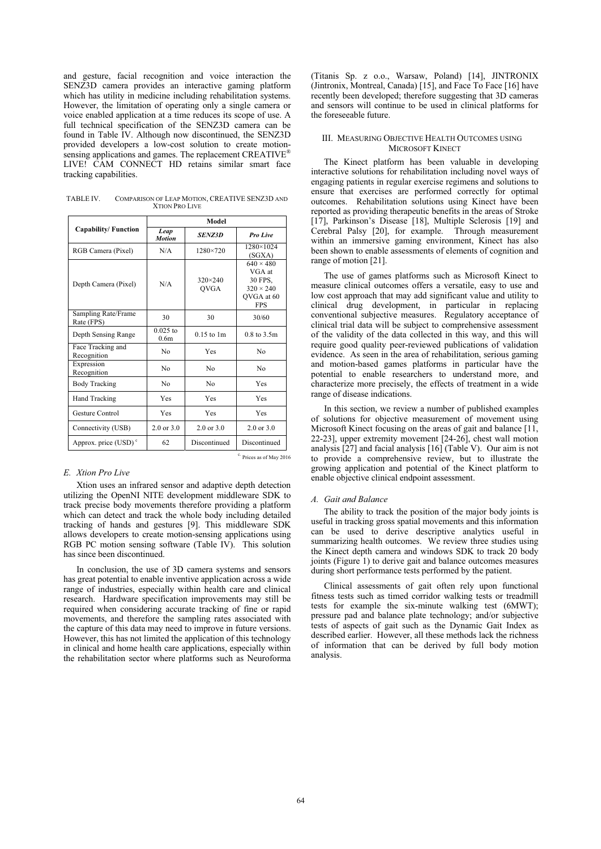and gesture, facial recognition and voice interaction the SENZ3D camera provides an interactive gaming platform which has utility in medicine including rehabilitation systems. However, the limitation of operating only a single camera or voice enabled application at a time reduces its scope of use. A full technical specification of the SENZ3D camera can be found in Table IV. Although now discontinued, the SENZ3D provided developers a low-cost solution to create motionsensing applications and games. The replacement CREATIVE<sup>®</sup> LIVE! CAM CONNECT HD retains similar smart face tracking capabilities.

| TABLE IV. | COMPARISON OF LEAP MOTION, CREATIVE SENZ3D AND |
|-----------|------------------------------------------------|
|           | <b>XTION PRO LIVE</b>                          |

|                                   |                                | Model                           |                                                                                       |
|-----------------------------------|--------------------------------|---------------------------------|---------------------------------------------------------------------------------------|
| <b>Capability/Function</b>        | Leap<br><b>Motion</b>          | <b>SENZ3D</b>                   | Pro Live                                                                              |
| RGB Camera (Pixel)                | N/A                            | 1280×720                        | 1280×1024<br>(SGXA)                                                                   |
| Depth Camera (Pixel)              | N/A                            | $320 \times 240$<br><b>OVGA</b> | $640 \times 480$<br>VGA at<br>30 FPS.<br>$320 \times 240$<br>OVGA at 60<br><b>FPS</b> |
| Sampling Rate/Frame<br>Rate (FPS) | 30                             | 30                              | 30/60                                                                                 |
| Depth Sensing Range               | $0.025$ to<br>0.6 <sub>m</sub> | $0.15$ to $1m$                  | $0.8 \text{ to } 3.5 \text{m}$                                                        |
| Face Tracking and<br>Recognition  | N <sub>0</sub>                 | Yes                             | N <sub>0</sub>                                                                        |
| Expression<br>Recognition         | N <sub>0</sub>                 | N <sub>0</sub>                  | N <sub>0</sub>                                                                        |
| <b>Body Tracking</b>              | No                             | N <sub>0</sub>                  | <b>Yes</b>                                                                            |
| <b>Hand Tracking</b>              | Yes                            | Yes                             | Yes                                                                                   |
| Gesture Control                   | <b>Yes</b>                     | Yes                             | Yes                                                                                   |
| Connectivity (USB)                | $2.0$ or $3.0$                 | $2.0$ or $3.0$                  | $2.0$ or $3.0$                                                                        |
| Approx. price (USD) <sup>c</sup>  | 62                             | Discontinued                    | Discontinued                                                                          |

### *E. Xtion Pro Live*

Xtion uses an infrared sensor and adaptive depth detection utilizing the OpenNI NITE development middleware SDK to track precise body movements therefore providing a platform which can detect and track the whole body including detailed tracking of hands and gestures [9]. This middleware SDK allows developers to create motion-sensing applications using RGB PC motion sensing software (Table IV). This solution has since been discontinued.

In conclusion, the use of 3D camera systems and sensors has great potential to enable inventive application across a wide range of industries, especially within health care and clinical research. Hardware specification improvements may still be required when considering accurate tracking of fine or rapid movements, and therefore the sampling rates associated with the capture of this data may need to improve in future versions. However, this has not limited the application of this technology in clinical and home health care applications, especially within the rehabilitation sector where platforms such as Neuroforma

(Titanis Sp. z o.o., Warsaw, Poland) [14], JINTRONIX (Jintronix, Montreal, Canada) [15], and Face To Face [16] have recently been developed; therefore suggesting that 3D cameras and sensors will continue to be used in clinical platforms for the foreseeable future.

### III. MEASURING OBJECTIVE HEALTH OUTCOMES USING MICROSOFT KINECT

The Kinect platform has been valuable in developing interactive solutions for rehabilitation including novel ways of engaging patients in regular exercise regimens and solutions to ensure that exercises are performed correctly for optimal outcomes. Rehabilitation solutions using Kinect have been reported as providing therapeutic benefits in the areas of Stroke [17], Parkinson's Disease [18], Multiple Sclerosis [19] and Cerebral Palsy [20], for example. Through measurement within an immersive gaming environment. Kinect has also been shown to enable assessments of elements of cognition and range of motion [21].

The use of games platforms such as Microsoft Kinect to measure clinical outcomes offers a versatile, easy to use and low cost approach that may add significant value and utility to clinical drug development, in particular in replacing conventional subjective measures. Regulatory acceptance of clinical trial data will be subject to comprehensive assessment of the validity of the data collected in this way, and this will require good quality peer-reviewed publications of validation evidence. As seen in the area of rehabilitation, serious gaming and motion-based games platforms in particular have the potential to enable researchers to understand more, and characterize more precisely, the effects of treatment in a wide range of disease indications.

In this section, we review a number of published examples of solutions for objective measurement of movement using Microsoft Kinect focusing on the areas of gait and balance [11, 22-23], upper extremity movement [24-26], chest wall motion analysis [27] and facial analysis [16] (Table V). Our aim is not to provide a comprehensive review, but to illustrate the growing application and potential of the Kinect platform to enable objective clinical endpoint assessment.

## *A. Gait and Balance*

The ability to track the position of the major body joints is useful in tracking gross spatial movements and this information can be used to derive descriptive analytics useful in summarizing health outcomes. We review three studies using the Kinect depth camera and windows SDK to track 20 body joints (Figure 1) to derive gait and balance outcomes measures during short performance tests performed by the patient.

Clinical assessments of gait often rely upon functional fitness tests such as timed corridor walking tests or treadmill tests for example the six-minute walking test (6MWT); pressure pad and balance plate technology; and/or subjective tests of aspects of gait such as the Dynamic Gait Index as described earlier. However, all these methods lack the richness of information that can be derived by full body motion analysis.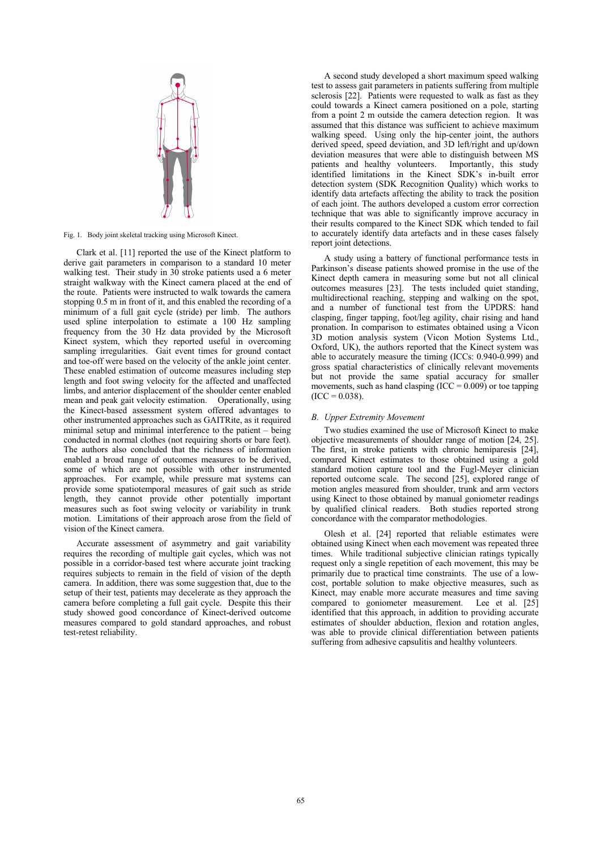

Fig. 1. Body joint skeletal tracking using Microsoft Kinect.

Clark et al. [11] reported the use of the Kinect platform to derive gait parameters in comparison to a standard 10 meter walking test. Their study in 30 stroke patients used a 6 meter straight walkway with the Kinect camera placed at the end of the route. Patients were instructed to walk towards the camera stopping 0.5 m in front of it, and this enabled the recording of a minimum of a full gait cycle (stride) per limb. The authors used spline interpolation to estimate a 100 Hz sampling frequency from the 30 Hz data provided by the Microsoft Kinect system, which they reported useful in overcoming sampling irregularities. Gait event times for ground contact and toe-off were based on the velocity of the ankle joint center. These enabled estimation of outcome measures including step length and foot swing velocity for the affected and unaffected limbs, and anterior displacement of the shoulder center enabled mean and peak gait velocity estimation. Operationally, using the Kinect-based assessment system offered advantages to other instrumented approaches such as GAITRite, as it required minimal setup and minimal interference to the patient – being conducted in normal clothes (not requiring shorts or bare feet). The authors also concluded that the richness of information enabled a broad range of outcomes measures to be derived, some of which are not possible with other instrumented approaches. For example, while pressure mat systems can provide some spatiotemporal measures of gait such as stride length, they cannot provide other potentially important measures such as foot swing velocity or variability in trunk motion. Limitations of their approach arose from the field of vision of the Kinect camera.

Accurate assessment of asymmetry and gait variability requires the recording of multiple gait cycles, which was not possible in a corridor-based test where accurate joint tracking requires subjects to remain in the field of vision of the depth camera. In addition, there was some suggestion that, due to the setup of their test, patients may decelerate as they approach the camera before completing a full gait cycle. Despite this their study showed good concordance of Kinect-derived outcome measures compared to gold standard approaches, and robust test-retest reliability.

A second study developed a short maximum speed walking test to assess gait parameters in patients suffering from multiple sclerosis [22]. Patients were requested to walk as fast as they could towards a Kinect camera positioned on a pole, starting from a point 2 m outside the camera detection region. It was assumed that this distance was sufficient to achieve maximum walking speed. Using only the hip-center joint, the authors derived speed, speed deviation, and 3D left/right and up/down deviation measures that were able to distinguish between MS patients and healthy volunteers. Importantly, this study patients and healthy volunteers. identified limitations in the Kinect SDK's in-built error detection system (SDK Recognition Quality) which works to identify data artefacts affecting the ability to track the position of each joint. The authors developed a custom error correction technique that was able to significantly improve accuracy in their results compared to the Kinect SDK which tended to fail to accurately identify data artefacts and in these cases falsely report joint detections.

A study using a battery of functional performance tests in Parkinson's disease patients showed promise in the use of the Kinect depth camera in measuring some but not all clinical outcomes measures [23]. The tests included quiet standing, multidirectional reaching, stepping and walking on the spot, and a number of functional test from the UPDRS: hand clasping, finger tapping, foot/leg agility, chair rising and hand pronation. In comparison to estimates obtained using a Vicon 3D motion analysis system (Vicon Motion Systems Ltd., Oxford, UK), the authors reported that the Kinect system was able to accurately measure the timing (ICCs: 0.940-0.999) and gross spatial characteristics of clinically relevant movements but not provide the same spatial accuracy for smaller movements, such as hand clasping  $(ICC = 0.009)$  or toe tapping  $(ICC = 0.038).$ 

## *B. Upper Extremity Movement*

Two studies examined the use of Microsoft Kinect to make objective measurements of shoulder range of motion [24, 25]. The first, in stroke patients with chronic hemiparesis [24], compared Kinect estimates to those obtained using a gold standard motion capture tool and the Fugl-Meyer clinician reported outcome scale. The second [25], explored range of motion angles measured from shoulder, trunk and arm vectors using Kinect to those obtained by manual goniometer readings by qualified clinical readers. Both studies reported strong concordance with the comparator methodologies.

Olesh et al. [24] reported that reliable estimates were obtained using Kinect when each movement was repeated three times. While traditional subjective clinician ratings typically request only a single repetition of each movement, this may be primarily due to practical time constraints. The use of a lowcost, portable solution to make objective measures, such as Kinect, may enable more accurate measures and time saving compared to goniometer measurement. Lee et al. [25] identified that this approach, in addition to providing accurate estimates of shoulder abduction, flexion and rotation angles, was able to provide clinical differentiation between patients suffering from adhesive capsulitis and healthy volunteers.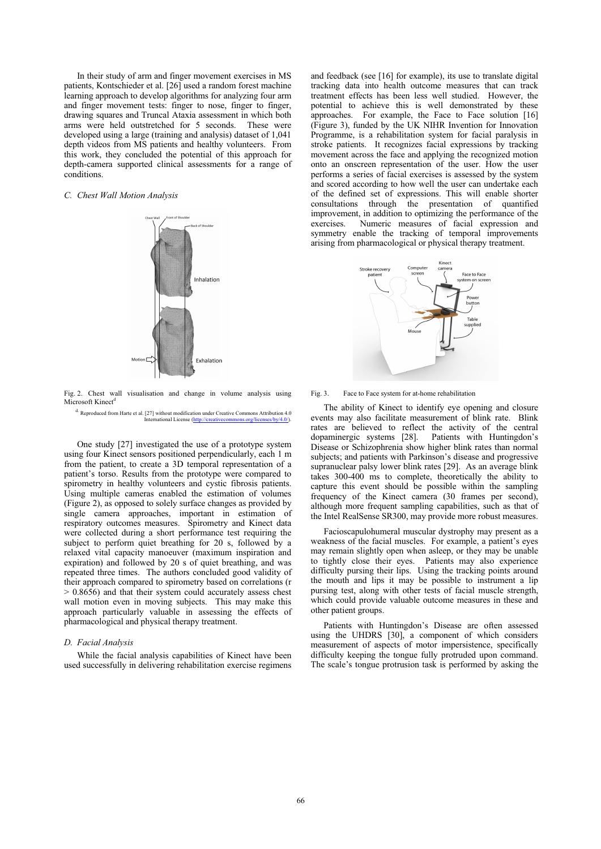In their study of arm and finger movement exercises in MS patients, Kontschieder et al. [26] used a random forest machine learning approach to develop algorithms for analyzing four arm and finger movement tests: finger to nose, finger to finger, drawing squares and Truncal Ataxia assessment in which both arms were held outstretched for 5 seconds. These were developed using a large (training and analysis) dataset of 1,041 depth videos from MS patients and healthy volunteers. From this work, they concluded the potential of this approach for depth-camera supported clinical assessments for a range of conditions.

# *C. Chest Wall Motion Analysis*



Fig. 2. Chest wall visualisation and change in volume analysis using  $M$ icrosoft Kinect<sup>d</sup>

d. Reproduced from Harte et al. [27] without modification under Creative Commons Attribution 4.0 International License (http://creativecommons.org/licenses/by/4.0/).

One study [27] investigated the use of a prototype system using four Kinect sensors positioned perpendicularly, each 1 m from the patient, to create a 3D temporal representation of a patient's torso. Results from the prototype were compared to spirometry in healthy volunteers and cystic fibrosis patients. Using multiple cameras enabled the estimation of volumes (Figure 2), as opposed to solely surface changes as provided by single camera approaches, important in estimation of respiratory outcomes measures. Spirometry and Kinect data were collected during a short performance test requiring the subject to perform quiet breathing for 20 s, followed by a relaxed vital capacity manoeuver (maximum inspiration and expiration) and followed by 20 s of quiet breathing, and was repeated three times. The authors concluded good validity of their approach compared to spirometry based on correlations (r > 0.8656) and that their system could accurately assess chest wall motion even in moving subjects. This may make this approach particularly valuable in assessing the effects of pharmacological and physical therapy treatment.

#### *D. Facial Analysis*

While the facial analysis capabilities of Kinect have been used successfully in delivering rehabilitation exercise regimens and feedback (see [16] for example), its use to translate digital tracking data into health outcome measures that can track treatment effects has been less well studied. However, the potential to achieve this is well demonstrated by these approaches. For example, the Face to Face solution [16] (Figure 3), funded by the UK NIHR Invention for Innovation Programme, is a rehabilitation system for facial paralysis in stroke patients. It recognizes facial expressions by tracking movement across the face and applying the recognized motion onto an onscreen representation of the user. How the user performs a series of facial exercises is assessed by the system and scored according to how well the user can undertake each of the defined set of expressions. This will enable shorter consultations through the presentation of quantified improvement, in addition to optimizing the performance of the exercises. Numeric measures of facial expression and symmetry enable the tracking of temporal improvements arising from pharmacological or physical therapy treatment.



Fig. 3. Face to Face system for at-home rehabilitation

The ability of Kinect to identify eye opening and closure events may also facilitate measurement of blink rate. Blink rates are believed to reflect the activity of the central dopaminergic systems [28]. Patients with Huntingdon's dopaminergic systems [28]. Disease or Schizophrenia show higher blink rates than normal subjects; and patients with Parkinson's disease and progressive supranuclear palsy lower blink rates [29]. As an average blink takes 300-400 ms to complete, theoretically the ability to capture this event should be possible within the sampling frequency of the Kinect camera (30 frames per second), although more frequent sampling capabilities, such as that of the Intel RealSense SR300, may provide more robust measures.

Facioscapulohumeral muscular dystrophy may present as a weakness of the facial muscles. For example, a patient's eyes may remain slightly open when asleep, or they may be unable to tightly close their eyes. Patients may also experience difficulty pursing their lips. Using the tracking points around the mouth and lips it may be possible to instrument a lip pursing test, along with other tests of facial muscle strength, which could provide valuable outcome measures in these and other patient groups.

Patients with Huntingdon's Disease are often assessed using the UHDRS [30], a component of which considers measurement of aspects of motor impersistence, specifically difficulty keeping the tongue fully protruded upon command. The scale's tongue protrusion task is performed by asking the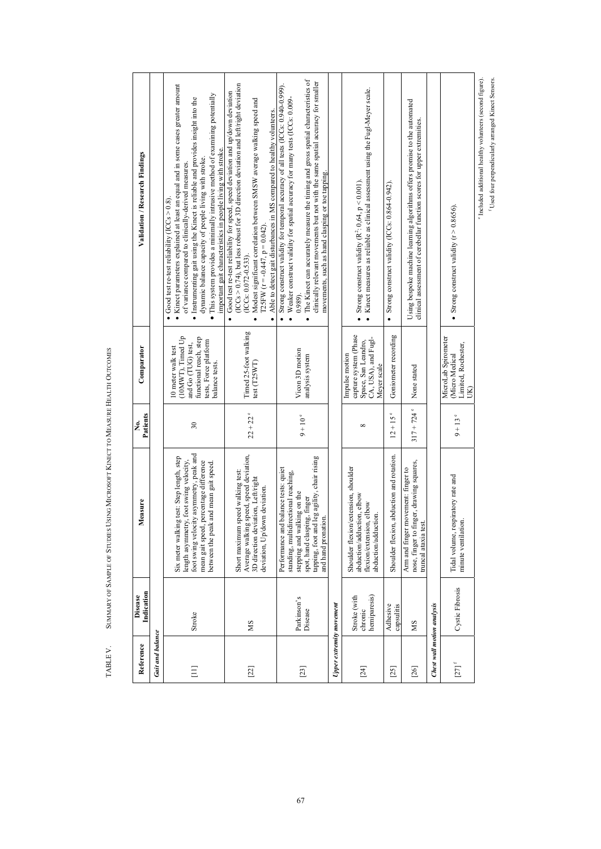| Reference                  | Indication<br>Disease                   | Measure                                                                                                                                                                                                           | Patients<br>Ż.         | Comparator                                                                                                                         | Validation / Research Findings                                                                                                                                                                                                                                                                                                                                                                                                                                                                   |
|----------------------------|-----------------------------------------|-------------------------------------------------------------------------------------------------------------------------------------------------------------------------------------------------------------------|------------------------|------------------------------------------------------------------------------------------------------------------------------------|--------------------------------------------------------------------------------------------------------------------------------------------------------------------------------------------------------------------------------------------------------------------------------------------------------------------------------------------------------------------------------------------------------------------------------------------------------------------------------------------------|
| <b>Gait and balance</b>    |                                         |                                                                                                                                                                                                                   |                        |                                                                                                                                    |                                                                                                                                                                                                                                                                                                                                                                                                                                                                                                  |
| $\Xi$                      | Stroke                                  | foot swing velocity asymmetry, peak and<br>Six meter walking test: Step length, step<br>length asymmetry, foot swing velocity,<br>mean gait speed, percentage difference<br>between the peak and mean gait speed. | 30                     | (10MWT), Timed Up<br>functional reach, step<br>tests, Force platform<br>and Go (TUG) test,<br>10 meter walk test<br>balance tests. | • Kinect parameters explained at least an equal and in some cases greater amount<br>· This system provides a minimally intrusive method of examining potentially<br>· Instrumenting gait using the Kinect is reliable and provides insight into the<br>important gait characteristics in people living with stroke.<br>dynamic balance capacity of people living with stroke.<br>of variance compared to clinically-derived measures<br>$\bullet$ Good test re-test reliability (ICCs $> 0.8$ ). |
| $[22]$                     | SM                                      | Average walking speed, speed deviation,<br>Short maximum speed walking test:<br>3D direction deviation, Left/right<br>deviation, Up/down deviation.                                                               | $22 + 22$ <sup>e</sup> | Timed 25-foot walking<br>test(T25WT)                                                                                               | $(ICCs > 0.74)$ , but less robust for 3D direction deviation and left/right deviation<br>Good test re-test reliability for speed, speed deviation and up/down deviation<br>Modest significant correlation between SMSW average walking speed and<br>Able to detect gait disturbances in MS compared to healthy volunteers.<br>T25FW $(r = -0.447, p = 0.042)$<br>(ICCs: 0.072-0.533).<br>$\bullet$                                                                                               |
| $[23]$                     | Parkinson's<br>Disease                  | tapping, foot and leg agility, chair rising<br>Performance and balance tests: quiet<br>standing, multidirectional reaching,<br>stepping and walking on the<br>spot, hand clasping, finger<br>and hand pronation.  | $9 + 10$ °             | Vicon 3D motion<br>analysis system                                                                                                 | The Kinect can accurately measure the timing and gross spatial characteristics of<br>clinically relevant movements but not with the same spatial accuracy for smaller<br>Strong construct validity for temporal accuracy of all tests (ICCs: 0.940-0.999).<br>Weaker construct validity for spatial accuracy for many tests (ICCs: 0.009-<br>movements, such as hand clasping or toe tapping.<br>0.989<br>$\bullet$                                                                              |
| Upper extremity movement   |                                         |                                                                                                                                                                                                                   |                        |                                                                                                                                    |                                                                                                                                                                                                                                                                                                                                                                                                                                                                                                  |
| [24]                       | hemiparesis)<br>Stroke (with<br>chronic | Shoulder flexion/extension, shoulder<br>abduction/adduction, elbow<br>flexion/extension, elbow<br>abduction/adduction.                                                                                            | $\infty$               | capture system (Phase<br>CA, USA), and Fugl-<br>Space, San Leandro,<br>Impulse motion<br>Meyer scale                               | Kinect measures as reliable as clinical assessment using the Fugl-Meyer scale.<br>• Strong construct validity ( $R^2$ : 0,64, $p < 0.001$ ).<br>$\bullet$                                                                                                                                                                                                                                                                                                                                        |
| $[25]$                     | Adhesive<br>capsulitis                  | Shoulder flexion, abduction and rotation.                                                                                                                                                                         | $12 + 15$ °            | Goniometer recording                                                                                                               | • Strong construct validity (ICCs: 0.864-0.942),                                                                                                                                                                                                                                                                                                                                                                                                                                                 |
| $[26]$                     | SM                                      | nose, finger to finger, drawing squares,<br>Arm and finger movement: finger to<br>truncal ataxia test.                                                                                                            | $317 + 724$ °          | None stated                                                                                                                        | Using bespoke machine learning algorithms offers promise to the automated<br>clinical assessment of cerebellar function scores for upper extremities.                                                                                                                                                                                                                                                                                                                                            |
| Chest wall motion analysis |                                         |                                                                                                                                                                                                                   |                        |                                                                                                                                    |                                                                                                                                                                                                                                                                                                                                                                                                                                                                                                  |
| $[27]$ <sup>f</sup>        | Cystic Fibrosis                         | Tidal volume, respiratory rate and<br>minute ventilation.                                                                                                                                                         | ۰<br>$9 + 13$          | MicroLab Spirometer<br>Limited, Rochester,<br>(Micro Medical<br>$\mathbf{\widetilde{B}}$                                           | • Strong construct validity ( $r > 0.8656$ ).                                                                                                                                                                                                                                                                                                                                                                                                                                                    |
|                            |                                         |                                                                                                                                                                                                                   |                        |                                                                                                                                    | <sup>e</sup> Included additional healthy volunteers (second figure).                                                                                                                                                                                                                                                                                                                                                                                                                             |

 $^{\rm e}$  included additional healthy volunteers (second figure).  $^{\rm f}$  Used four perpendicularly arranged Kinect Sensors. f Used four perpendicularly arranged Kinect Sensors.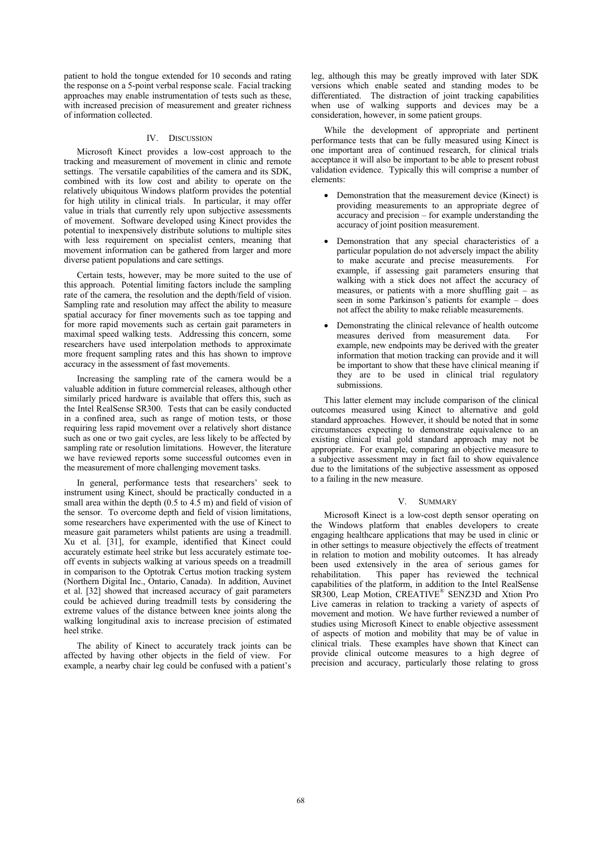patient to hold the tongue extended for 10 seconds and rating the response on a 5-point verbal response scale. Facial tracking approaches may enable instrumentation of tests such as these, with increased precision of measurement and greater richness of information collected.

# IV. DISCUSSION

Microsoft Kinect provides a low-cost approach to the tracking and measurement of movement in clinic and remote settings. The versatile capabilities of the camera and its SDK, combined with its low cost and ability to operate on the relatively ubiquitous Windows platform provides the potential for high utility in clinical trials. In particular, it may offer value in trials that currently rely upon subjective assessments of movement. Software developed using Kinect provides the potential to inexpensively distribute solutions to multiple sites with less requirement on specialist centers, meaning that movement information can be gathered from larger and more diverse patient populations and care settings.

Certain tests, however, may be more suited to the use of this approach. Potential limiting factors include the sampling rate of the camera, the resolution and the depth/field of vision. Sampling rate and resolution may affect the ability to measure spatial accuracy for finer movements such as toe tapping and for more rapid movements such as certain gait parameters in maximal speed walking tests. Addressing this concern, some researchers have used interpolation methods to approximate more frequent sampling rates and this has shown to improve accuracy in the assessment of fast movements.

Increasing the sampling rate of the camera would be a valuable addition in future commercial releases, although other similarly priced hardware is available that offers this, such as the Intel RealSense SR300. Tests that can be easily conducted in a confined area, such as range of motion tests, or those requiring less rapid movement over a relatively short distance such as one or two gait cycles, are less likely to be affected by sampling rate or resolution limitations. However, the literature we have reviewed reports some successful outcomes even in the measurement of more challenging movement tasks.

In general, performance tests that researchers' seek to instrument using Kinect, should be practically conducted in a small area within the depth (0.5 to 4.5 m) and field of vision of the sensor. To overcome depth and field of vision limitations, some researchers have experimented with the use of Kinect to measure gait parameters whilst patients are using a treadmill. Xu et al. [31], for example, identified that Kinect could accurately estimate heel strike but less accurately estimate toeoff events in subjects walking at various speeds on a treadmill in comparison to the Optotrak Certus motion tracking system (Northern Digital Inc., Ontario, Canada). In addition, Auvinet et al. [32] showed that increased accuracy of gait parameters could be achieved during treadmill tests by considering the extreme values of the distance between knee joints along the walking longitudinal axis to increase precision of estimated heel strike.

The ability of Kinect to accurately track joints can be affected by having other objects in the field of view. For example, a nearby chair leg could be confused with a patient's leg, although this may be greatly improved with later SDK versions which enable seated and standing modes to be differentiated. The distraction of joint tracking capabilities when use of walking supports and devices may be a consideration, however, in some patient groups.

While the development of appropriate and pertinent performance tests that can be fully measured using Kinect is one important area of continued research, for clinical trials acceptance it will also be important to be able to present robust validation evidence. Typically this will comprise a number of elements:

- Demonstration that the measurement device (Kinect) is providing measurements to an appropriate degree of accuracy and precision – for example understanding the accuracy of joint position measurement.
- Demonstration that any special characteristics of a particular population do not adversely impact the ability to make accurate and precise measurements. For example, if assessing gait parameters ensuring that walking with a stick does not affect the accuracy of measures, or patients with a more shuffling gait – as seen in some Parkinson's patients for example – does not affect the ability to make reliable measurements.
- - Demonstrating the clinical relevance of health outcome measures derived from measurement data. For example, new endpoints may be derived with the greater information that motion tracking can provide and it will be important to show that these have clinical meaning if they are to be used in clinical trial regulatory submissions.

This latter element may include comparison of the clinical outcomes measured using Kinect to alternative and gold standard approaches. However, it should be noted that in some circumstances expecting to demonstrate equivalence to an existing clinical trial gold standard approach may not be appropriate. For example, comparing an objective measure to a subjective assessment may in fact fail to show equivalence due to the limitations of the subjective assessment as opposed to a failing in the new measure.

#### V. SUMMARY

Microsoft Kinect is a low-cost depth sensor operating on the Windows platform that enables developers to create engaging healthcare applications that may be used in clinic or in other settings to measure objectively the effects of treatment in relation to motion and mobility outcomes. It has already been used extensively in the area of serious games for rehabilitation. This paper has reviewed the technical capabilities of the platform, in addition to the Intel RealSense SR300, Leap Motion, CREATIVE® SENZ3D and Xtion Pro Live cameras in relation to tracking a variety of aspects of movement and motion. We have further reviewed a number of studies using Microsoft Kinect to enable objective assessment of aspects of motion and mobility that may be of value in clinical trials. These examples have shown that Kinect can provide clinical outcome measures to a high degree of precision and accuracy, particularly those relating to gross